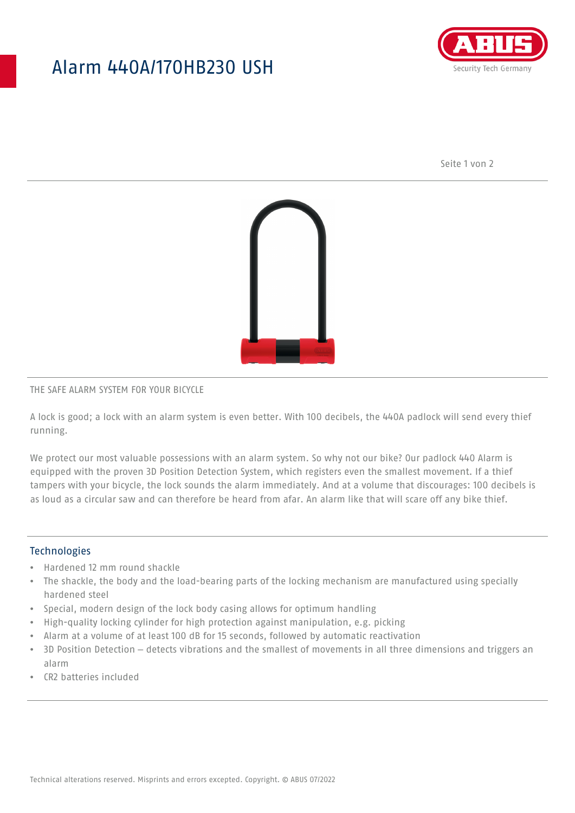## Alarm 440A/170HB230 USH



Seite 1 von 2



#### THE SAFE ALARM SYSTEM FOR YOUR BICYCLE

A lock is good; a lock with an alarm system is even better. With 100 decibels, the 440A padlock will send every thief running.

We protect our most valuable possessions with an alarm system. So why not our bike? Our padlock 440 Alarm is equipped with the proven 3D Position Detection System, which registers even the smallest movement. If a thief tampers with your bicycle, the lock sounds the alarm immediately. And at a volume that discourages: 100 decibels is as loud as a circular saw and can therefore be heard from afar. An alarm like that will scare off any bike thief.

#### **Technologies**

- Hardened 12 mm round shackle
- The shackle, the body and the load-bearing parts of the locking mechanism are manufactured using specially hardened steel
- Special, modern design of the lock body casing allows for optimum handling
- High-quality locking cylinder for high protection against manipulation, e.g. picking
- Alarm at a volume of at least 100 dB for 15 seconds, followed by automatic reactivation
- 3D Position Detection detects vibrations and the smallest of movements in all three dimensions and triggers an alarm
- CR2 batteries included